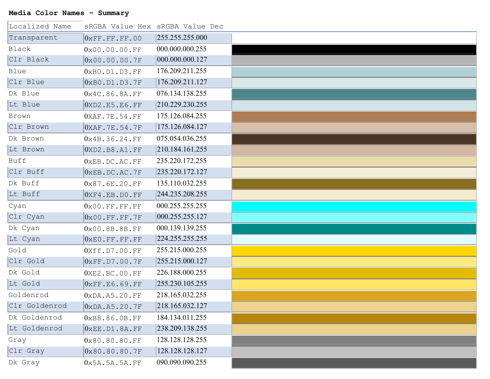## **Media Color Names – Summary**

 $\overline{a}$ 

| Localized Name |                                    | sRGBA Value Hex sRGBA Value Dec |  |
|----------------|------------------------------------|---------------------------------|--|
| Transparent    | $0 \times FF.F.F.F.F.00$           | 255.255.255.000                 |  |
| Black          | $0 \times 00.00.00$ .FF            | 000.000.000.255                 |  |
| Clr Black      | $ 0 \text{x} 00.00.00.7 \text{F} $ | 000.000.000.127                 |  |
| Blue           | $0 \times B0$ . D $1$ . D $3$ . FF | 176.209.211.255                 |  |
| Clr Blue       | $0\times$ B $0$ .D $1$ .D $3$ .7F  | 176.209.211.127                 |  |
| Dk Blue        | $0 \times 4C.86.8A.FF$             | 076.134.138.255                 |  |
| Lt Blue        | $0$ XD2.E5.E6.FF                   | 210.229.230.255                 |  |
| Brown          | $0$ XAF.7E.54.FF                   | 175.126.084.255                 |  |
| Clr Brown      | $ 0 \text{XAF.7E.54.7F} $          | 175.126.084.127                 |  |
| Dk Brown       | 0x4B.36.24.FF                      | 075.054.036.255                 |  |
| Lt Brown       | $ 0 \text{XD2.B8.A1.FF} $          | 210.184.161.255                 |  |
| Buff           | $0 \times$ EB.DC.AC.FF             | 235.220.172.255                 |  |
| Clr Buff       | $ 0 \text{\tiny XEB}$ . DC. AC. 7F | 235.220.172.127                 |  |
| Dk Buff        | $0 \times 87.6E.20.FF$             | 135.110.032.255                 |  |
| Lt Buff        | $ 0 \text{XF4.EB.D0. FF} $         | 244.235.208.255                 |  |
| Cyan           | $0 \times 00$ . FF. FF. FF         | 000.255.255.255                 |  |
| Clr Cyan       | $ 0 \times 00$ .FF.FF.7F           | 000.255.255.127                 |  |
| Dk Cyan        | $0 \times 00.8B.8B.FF$             | 000.139.139.255                 |  |
| Lt Cyan        | $ 0 \times E0$ .FF.FF.FF           | 224.255.255.255                 |  |
| Gold           | $0 \times ff.D7.00.FF$             | 255.215.000.255                 |  |
| Clr Gold       | $ 0 \times \text{FF.D7.00.7F} $    | 255.215.000.127                 |  |
| Dk Gold        | $0$ XE2.BC.00.FF                   | 226.188.000.255                 |  |
| Lt Gold        | $ 0 \times \text{FF.E6.69. FF} $   | 255.230.105.255                 |  |
| Goldenrod      | $0 \times$ DA.A5.20.FF             | 218.165.032.255                 |  |
| Clr Goldenrod  | $0 \times$ DA.A5.20.7F             | 218.165.032.127                 |  |
| Dk Goldenrod   | $0 \times B8.86.0B.FF$             | 184.134.011.255                 |  |
| Lt Goldenrod   | $0 \times$ EE.D1.8A.FF             | 238.209.138.255                 |  |
| Gray           | $0 \times 80.80.80$ .FF            | 128.128.128.255                 |  |
| Clr Gray       | $0\times80.80.80.7$ F              | 128.128.128.127                 |  |
| Dk Gray        | 0x5A.5A.5A.FF                      | 090.090.090.255                 |  |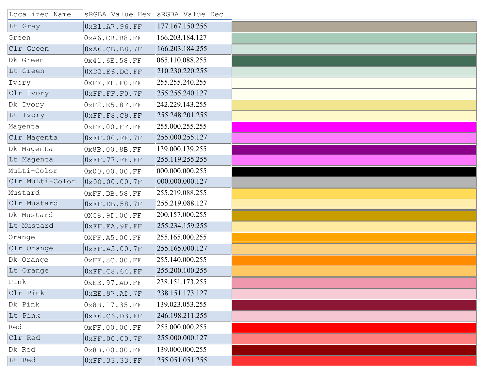| Localized Name  |                            | sRGBA Value Hex sRGBA Value Dec |  |
|-----------------|----------------------------|---------------------------------|--|
| Lt Gray         | $0$ xB1.A7.96.FF           | 177.167.150.255                 |  |
| Green           | $0$ xA6.CB.B8.FF           | 166.203.184.127                 |  |
| Clr Green       | $0 \times A6$ .CB.B8.7F    | 166.203.184.255                 |  |
| Dk Green        | $0\times 41.6E.58.FF$      | 065.110.088.255                 |  |
| Lt Green        | $0 \times D2$ .E6.DC.FF    | 210.230.220.255                 |  |
| Ivory           | OXFF.FF.FO.FF              | 255.255.240.255                 |  |
| Clr Ivory       | $0 \times FF.F.F.F. F0.7F$ | 255.255.240.127                 |  |
| Dk Ivory        | $0\times$ F2.E5.8F.FF      | 242.229.143.255                 |  |
| Lt Ivory        | $0\times$ FF.F8.C9.FF      | 255.248.201.255                 |  |
| Magenta         | $0 \times FF.00.FF.FF$     | 255.000.255.255                 |  |
| Clr Magenta     | $0\times$ FF.00.FF.7F      | 255.000.255.127                 |  |
| Dk Magenta      | $0\times8B.00.8B.FF$       | 139.000.139.255                 |  |
| Lt Magenta      | $0\times$ FF.77.FF.FF      | 255.119.255.255                 |  |
| MuLti-Color     | $0 \times 00.00.00$ .FF    | 000.000.000.255                 |  |
| Clr MuLti-Color | $0 \times 00.00.00.7F$     | 000.000.000.127                 |  |
| Mustard         | $0 \times FF$ . DB. 58. FF | 255.219.088.255                 |  |
| Clr Mustard     | $0\times$ FF.DB.58.7F      | 255.219.088.127                 |  |
| Dk Mustard      | 0XC8.9D.00.FF              | 200.157.000.255                 |  |
| Lt Mustard      | $0\times$ FF.EA.9F.FF      | 255.234.159.255                 |  |
| Orange          | $0$ XFF.A5.00.FF           | 255.165.000.255                 |  |
| Clr Orange      | $0\times$ FF.A5.00.7F      | 255.165.000.127                 |  |
| Dk Orange       | $0 \times FF.8C.00.FF$     | 255.140.000.255                 |  |
| Lt Orange       | $0\times$ FF.C8.64.FF      | 255.200.100.255                 |  |
| Pink            | $0 \times EE.97.AD.FF$     | 238.151.173.255                 |  |
| Clr Pink        | $0 \times EE.97.AD.7F$     | 238.151.173.127                 |  |
| Dk Pink         | $0 \times 8B.17.35.FF$     | 139.023.053.255                 |  |
| Lt Pink         | $0\times$ F6.C6.D3.FF      | 246.198.211.255                 |  |
| Red             | $0 \times FF.00.00.FF$     | 255.000.000.255                 |  |
| Clr Red         | $0 \times FF.00.00.7F$     | 255.000.000.127                 |  |
| Dk Red          | $0 \times 8B.00.00.FF$     | 139.000.000.255                 |  |
| Lt Red          | $0 \times FF.33.33.FF$     | 255.051.051.255                 |  |